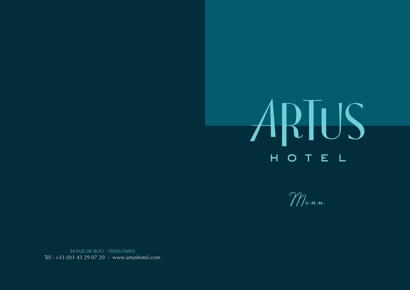# ARTUS HOTEL

Menu

34 RUE DE BUCI - 75006 PARIS Tél: +33 (0)1 43 29 07 20 - www.artushotel.com